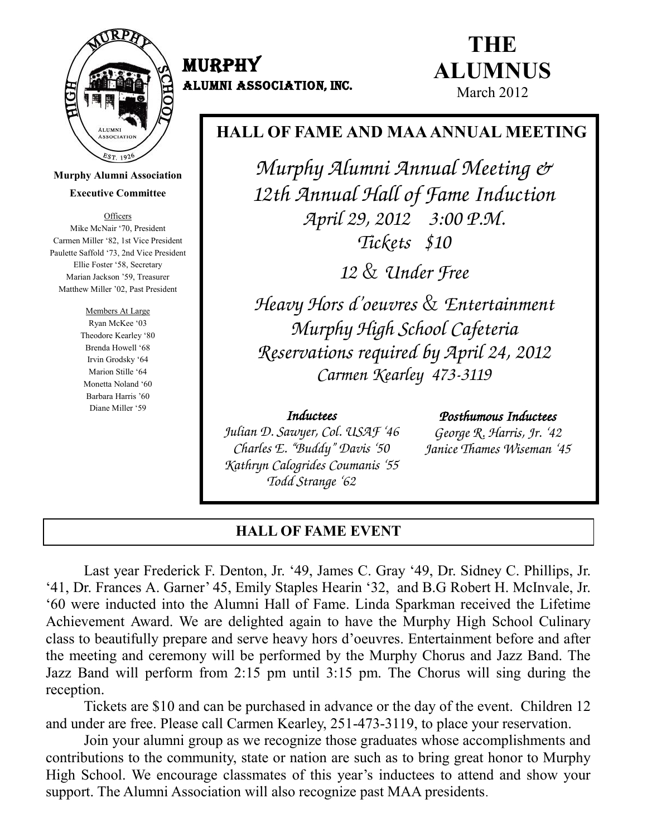

**Murphy Alumni Association Executive Committee**

**Officers** Mike McNair '70, President Carmen Miller ‗82, 1st Vice President Paulette Saffold '73, 2nd Vice President Ellie Foster '58, Secretary Marian Jackson '59, Treasurer Matthew Miller '02, Past President

> Members At Large Ryan McKee '03 Theodore Kearley '80 Brenda Howell '68 Irvin Grodsky '64 Marion Stille '64 Monetta Noland '60 Barbara Harris '60 Diane Miller '59

# MURPHY ALUMNI ASSOCIATION, Inc.

# **THE ALUMNUS** March 2012

# **HALL OF FAME AND MAA ANNUAL MEETING**

Murphy Alumni Annual Meeting & 12th Annual Hall of Fame Induction April 29, 2012 3:00 P.M. Tickets \$10

12 & Under Free

Heavy Hors d"oeuvres & Entertainment Murphy High School Cafeteria Reservations required by April 24, 2012 Carmen Kearley 473-3119

## Inductees

Julian D. Sawyer, Col. USAF "46 Charles E. "Buddy" Davis "50 Kathryn Calogrides Coumanis "55 Todd Strange "62

## Posthumous Inductees

George R. Harris, Jr. "42 Janice Thames Wiseman "45

# **HALL OF FAME EVENT**

 Last year Frederick F. Denton, Jr. ‗49, James C. Gray ‗49, Dr. Sidney C. Phillips, Jr. ‗41, Dr. Frances A. Garner' 45, Emily Staples Hearin ‗32, and B.G Robert H. McInvale, Jr. ‗60 were inducted into the Alumni Hall of Fame. Linda Sparkman received the Lifetime Achievement Award. We are delighted again to have the Murphy High School Culinary class to beautifully prepare and serve heavy hors d'oeuvres. Entertainment before and after the meeting and ceremony will be performed by the Murphy Chorus and Jazz Band. The Jazz Band will perform from 2:15 pm until 3:15 pm. The Chorus will sing during the reception.

Tickets are \$10 and can be purchased in advance or the day of the event. Children 12 and under are free. Please call Carmen Kearley, 251-473-3119, to place your reservation.

 Join your alumni group as we recognize those graduates whose accomplishments and contributions to the community, state or nation are such as to bring great honor to Murphy High School. We encourage classmates of this year's inductees to attend and show your support. The Alumni Association will also recognize past MAA presidents.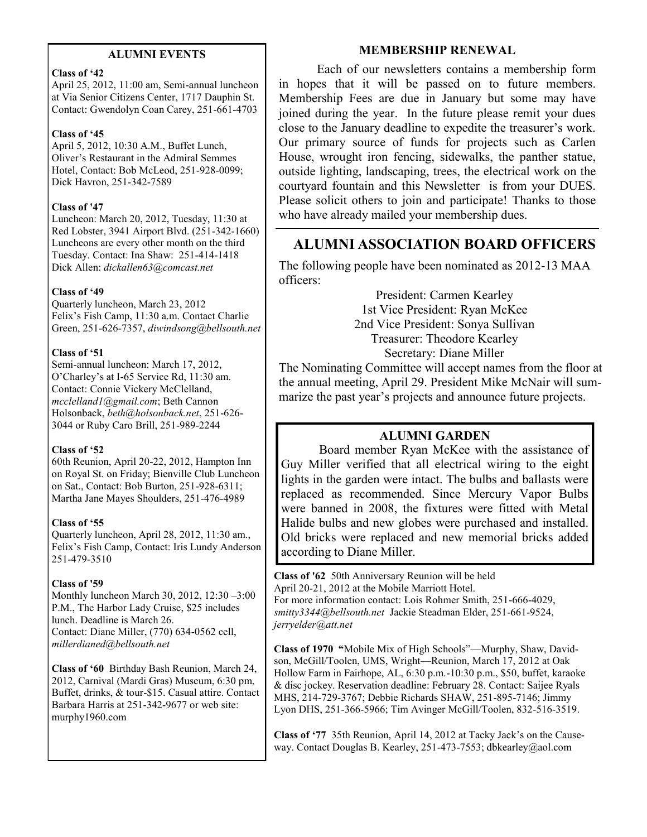#### **ALUMNI EVENTS**

#### **Class of '42**

April 25, 2012, 11:00 am, Semi-annual luncheon at Via Senior Citizens Center, 1717 Dauphin St. Contact: Gwendolyn Coan Carey, 251-661-4703

#### **Class of '45**

April 5, 2012, 10:30 A.M., Buffet Lunch, Oliver's Restaurant in the Admiral Semmes Hotel, Contact: Bob McLeod, 251-928-0099; Dick Havron, 251-342-7589

#### **Class of '47**

Luncheon: March 20, 2012, Tuesday, 11:30 at Red Lobster, 3941 Airport Blvd. (251-342-1660) Luncheons are every other month on the third Tuesday. Contact: Ina Shaw: 251-414-1418 Dick Allen: *dickallen63@comcast.net*

#### **Class of '49**

Quarterly luncheon, March 23, 2012 Felix's Fish Camp, 11:30 a.m. Contact Charlie Green, 251-626-7357, *diwindsong@bellsouth.net*

#### **Class of '51**

Semi-annual luncheon: March 17, 2012, O'Charley's at I-65 Service Rd, 11:30 am. Contact: Connie Vickery McClelland, *mcclelland1@gmail.com*; Beth Cannon Holsonback, *beth@holsonback.net*, 251-626- 3044 or Ruby Caro Brill, 251-989-2244

#### **Class of '52**

60th Reunion, April 20-22, 2012, Hampton Inn on Royal St. on Friday; Bienville Club Luncheon on Sat., Contact: Bob Burton, 251-928-6311; Martha Jane Mayes Shoulders, 251-476-4989

#### **Class of '55**

Quarterly luncheon, April 28, 2012, 11:30 am., Felix's Fish Camp, Contact: Iris Lundy Anderson 251-479-3510

#### **Class of '59**

Monthly luncheon March 30, 2012, 12:30 –3:00 P.M., The Harbor Lady Cruise, \$25 includes lunch. Deadline is March 26. Contact: Diane Miller, (770) 634-0562 cell, *millerdianed@bellsouth.net*

**Class of '60** Birthday Bash Reunion, March 24, 2012, Carnival (Mardi Gras) Museum, 6:30 pm, Buffet, drinks, & tour-\$15. Casual attire. Contact Barbara Harris at 251-342-9677 or web site: murphy1960.com

#### **MEMBERSHIP RENEWAL**

Each of our newsletters contains a membership form in hopes that it will be passed on to future members. Membership Fees are due in January but some may have joined during the year. In the future please remit your dues close to the January deadline to expedite the treasurer's work. Our primary source of funds for projects such as Carlen House, wrought iron fencing, sidewalks, the panther statue, outside lighting, landscaping, trees, the electrical work on the courtyard fountain and this Newsletter is from your DUES. Please solicit others to join and participate! Thanks to those who have already mailed your membership dues.

# **ALUMNI ASSOCIATION BOARD OFFICERS**

The following people have been nominated as 2012-13 MAA officers:

> President: Carmen Kearley 1st Vice President: Ryan McKee 2nd Vice President: Sonya Sullivan Treasurer: Theodore Kearley Secretary: Diane Miller

The Nominating Committee will accept names from the floor at the annual meeting, April 29. President Mike McNair will summarize the past year's projects and announce future projects.

# **ALUMNI GARDEN**

Board member Ryan McKee with the assistance of Guy Miller verified that all electrical wiring to the eight lights in the garden were intact. The bulbs and ballasts were replaced as recommended. Since Mercury Vapor Bulbs were banned in 2008, the fixtures were fitted with Metal Halide bulbs and new globes were purchased and installed. Old bricks were replaced and new memorial bricks added according to Diane Miller.

**Class of '62** 50th Anniversary Reunion will be held April 20-21, 2012 at the Mobile Marriott Hotel.

For more information contact: Lois Rohmer Smith, 251-666-4029, *smitty3344@bellsouth.net* Jackie Steadman Elder, 251-661-9524, *jerryelder@att.net*

**Class of 1970** "Mobile Mix of High Schools"—Murphy, Shaw, Davidson, McGill/Toolen, UMS, Wright—Reunion, March 17, 2012 at Oak Hollow Farm in Fairhope, AL, 6:30 p.m.-10:30 p.m., \$50, buffet, karaoke & disc jockey. Reservation deadline: February 28. Contact: Saijee Ryals MHS, 214-729-3767; Debbie Richards SHAW, 251-895-7146; Jimmy Lyon DHS, 251-366-5966; Tim Avinger McGill/Toolen, 832-516-3519.

**Class of '77** 35th Reunion, April 14, 2012 at Tacky Jack's on the Causeway. Contact Douglas B. Kearley, 251-473-7553; dbkearley@aol.com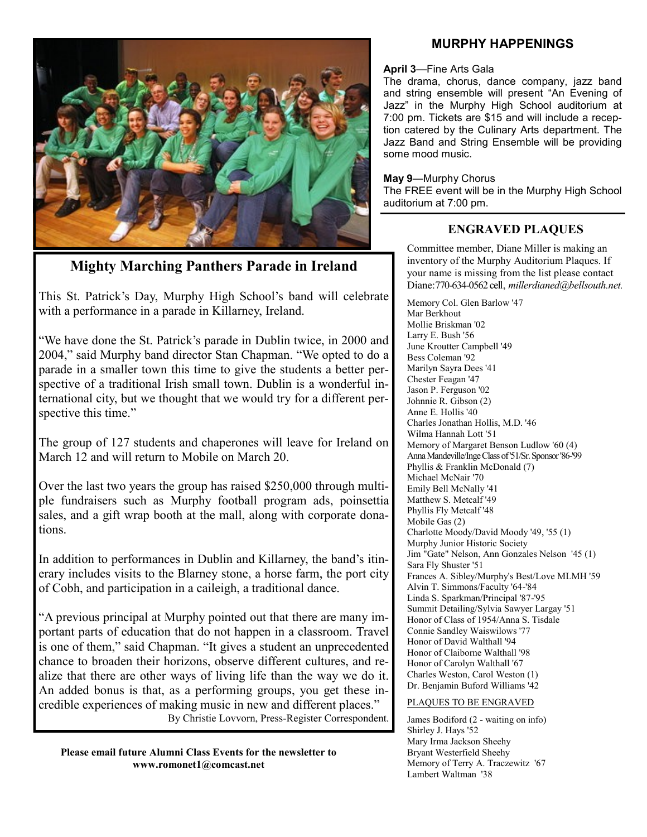

**Mighty Marching Panthers Parade in Ireland**

This St. Patrick's Day, Murphy High School's band will celebrate with a performance in a parade in Killarney, Ireland.

"We have done the St. Patrick's parade in Dublin twice, in 2000 and 2004," said Murphy band director Stan Chapman. "We opted to do a parade in a smaller town this time to give the students a better perspective of a traditional Irish small town. Dublin is a wonderful international city, but we thought that we would try for a different perspective this time."

The group of 127 students and chaperones will leave for Ireland on March 12 and will return to Mobile on March 20.

Over the last two years the group has raised \$250,000 through multiple fundraisers such as Murphy football program ads, poinsettia sales, and a gift wrap booth at the mall, along with corporate donations.

In addition to performances in Dublin and Killarney, the band's itinerary includes visits to the Blarney stone, a horse farm, the port city of Cobh, and participation in a caileigh, a traditional dance.

―A previous principal at Murphy pointed out that there are many important parts of education that do not happen in a classroom. Travel is one of them," said Chapman. "It gives a student an unprecedented chance to broaden their horizons, observe different cultures, and realize that there are other ways of living life than the way we do it. An added bonus is that, as a performing groups, you get these incredible experiences of making music in new and different places." By Christie Lovvorn, Press-Register Correspondent.

**Please email future Alumni Class Events for the newsletter to www.romonet1@comcast.net**

### **MURPHY HAPPENINGS**

#### **April 3**—Fine Arts Gala

The drama, chorus, dance company, jazz band and string ensemble will present "An Evening of Jazz" in the Murphy High School auditorium at 7:00 pm. Tickets are \$15 and will include a reception catered by the Culinary Arts department. The Jazz Band and String Ensemble will be providing some mood music.

#### **May 9**—Murphy Chorus

The FREE event will be in the Murphy High School auditorium at 7:00 pm.

# **ENGRAVED PLAQUES**

Committee member, Diane Miller is making an inventory of the Murphy Auditorium Plaques. If your name is missing from the list please contact Diane:770-634-0562 cell, *millerdianed@bellsouth.net.*

Memory Col. Glen Barlow '47 Mar Berkhout Mollie Briskman '02 Larry E. Bush '56 June Kroutter Campbell '49 Bess Coleman '92 Marilyn Sayra Dees '41 Chester Feagan '47 Jason P. Ferguson '02 Johnnie R. Gibson (2) Anne E. Hollis '40 Charles Jonathan Hollis, M.D. '46 Wilma Hannah Lott '51 Memory of Margaret Benson Ludlow '60 (4) Anna Mandeville/Inge Class of '51/Sr. Sponsor '86-'99 Phyllis & Franklin McDonald (7) Michael McNair '70 Emily Bell McNally '41 Matthew S. Metcalf '49 Phyllis Fly Metcalf '48 Mobile Gas (2) Charlotte Moody/David Moody '49, '55 (1) Murphy Junior Historic Society Jim "Gate" Nelson, Ann Gonzales Nelson '45 (1) Sara Fly Shuster '51 Frances A. Sibley/Murphy's Best/Love MLMH '59 Alvin T. Simmons/Faculty '64-'84 Linda S. Sparkman/Principal '87-'95 Summit Detailing/Sylvia Sawyer Largay '51 Honor of Class of 1954/Anna S. Tisdale Connie Sandley Waiswilows '77 Honor of David Walthall '94 Honor of Claiborne Walthall '98 Honor of Carolyn Walthall '67 Charles Weston, Carol Weston (1) Dr. Benjamin Buford Williams '42

#### PLAQUES TO BE ENGRAVED

James Bodiford (2 - waiting on info) Shirley J. Hays '52 Mary Irma Jackson Sheehy Bryant Westerfield Sheehy Memory of Terry A. Traczewitz '67 Lambert Waltman '38